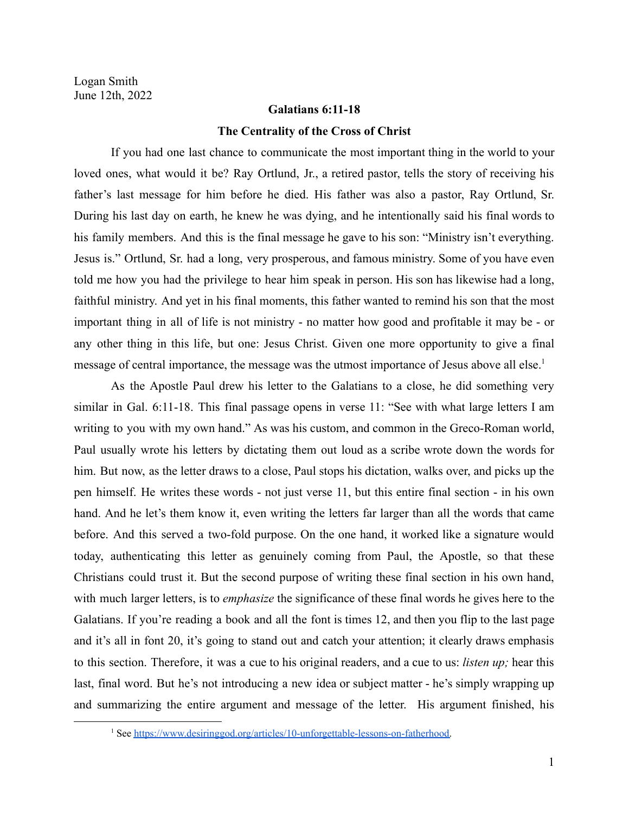## **Galatians 6:11-18 The Centrality of the Cross of Christ**

If you had one last chance to communicate the most important thing in the world to your loved ones, what would it be? Ray Ortlund, Jr., a retired pastor, tells the story of receiving his father's last message for him before he died. His father was also a pastor, Ray Ortlund, Sr. During his last day on earth, he knew he was dying, and he intentionally said his final words to his family members. And this is the final message he gave to his son: "Ministry isn't everything. Jesus is." Ortlund, Sr. had a long, very prosperous, and famous ministry. Some of you have even told me how you had the privilege to hear him speak in person. His son has likewise had a long, faithful ministry. And yet in his final moments, this father wanted to remind his son that the most important thing in all of life is not ministry - no matter how good and profitable it may be - or any other thing in this life, but one: Jesus Christ. Given one more opportunity to give a final message of central importance, the message was the utmost importance of Jesus above all else.<sup>1</sup>

As the Apostle Paul drew his letter to the Galatians to a close, he did something very similar in Gal. 6:11-18. This final passage opens in verse 11: "See with what large letters I am writing to you with my own hand." As was his custom, and common in the Greco-Roman world, Paul usually wrote his letters by dictating them out loud as a scribe wrote down the words for him. But now, as the letter draws to a close, Paul stops his dictation, walks over, and picks up the pen himself. He writes these words - not just verse 11, but this entire final section - in his own hand. And he let's them know it, even writing the letters far larger than all the words that came before. And this served a two-fold purpose. On the one hand, it worked like a signature would today, authenticating this letter as genuinely coming from Paul, the Apostle, so that these Christians could trust it. But the second purpose of writing these final section in his own hand, with much larger letters, is to *emphasize* the significance of these final words he gives here to the Galatians. If you're reading a book and all the font is times 12, and then you flip to the last page and it's all in font 20, it's going to stand out and catch your attention; it clearly draws emphasis to this section. Therefore, it was a cue to his original readers, and a cue to us: *listen up;* hear this last, final word. But he's not introducing a new idea or subject matter - he's simply wrapping up and summarizing the entire argument and message of the letter. His argument finished, his

<sup>&</sup>lt;sup>1</sup> See [https://www.desiringgod.org/articles/10-unforgettable-lessons-on-fatherhood.](https://www.desiringgod.org/articles/10-unforgettable-lessons-on-fatherhood)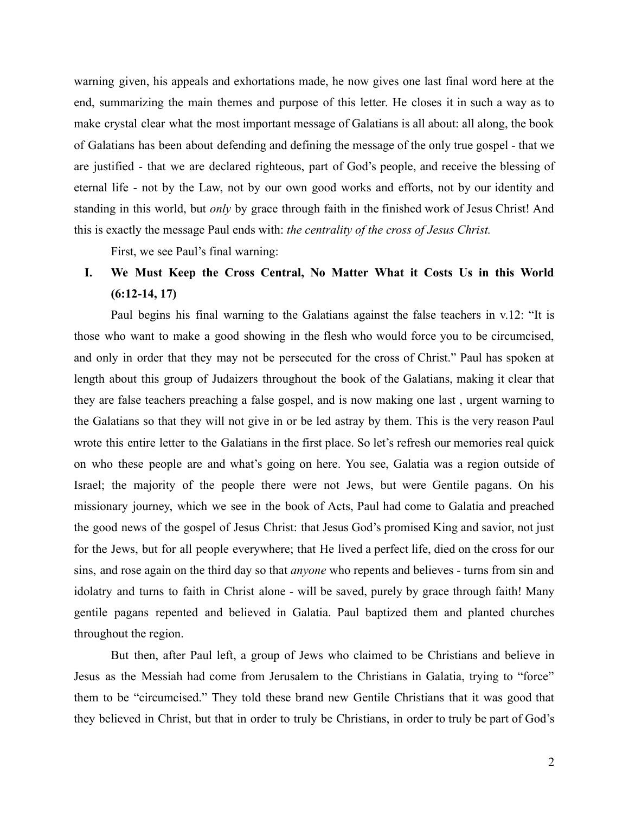warning given, his appeals and exhortations made, he now gives one last final word here at the end, summarizing the main themes and purpose of this letter. He closes it in such a way as to make crystal clear what the most important message of Galatians is all about: all along, the book of Galatians has been about defending and defining the message of the only true gospel - that we are justified - that we are declared righteous, part of God's people, and receive the blessing of eternal life - not by the Law, not by our own good works and efforts, not by our identity and standing in this world, but *only* by grace through faith in the finished work of Jesus Christ! And this is exactly the message Paul ends with: *the centrality of the cross of Jesus Christ.*

First, we see Paul's final warning:

## **I. We Must Keep the Cross Central, No Matter What it Costs Us in this World (6:12-14, 17)**

Paul begins his final warning to the Galatians against the false teachers in v.12: "It is those who want to make a good showing in the flesh who would force you to be circumcised, and only in order that they may not be persecuted for the cross of Christ." Paul has spoken at length about this group of Judaizers throughout the book of the Galatians, making it clear that they are false teachers preaching a false gospel, and is now making one last , urgent warning to the Galatians so that they will not give in or be led astray by them. This is the very reason Paul wrote this entire letter to the Galatians in the first place. So let's refresh our memories real quick on who these people are and what's going on here. You see, Galatia was a region outside of Israel; the majority of the people there were not Jews, but were Gentile pagans. On his missionary journey, which we see in the book of Acts, Paul had come to Galatia and preached the good news of the gospel of Jesus Christ: that Jesus God's promised King and savior, not just for the Jews, but for all people everywhere; that He lived a perfect life, died on the cross for our sins, and rose again on the third day so that *anyone* who repents and believes - turns from sin and idolatry and turns to faith in Christ alone - will be saved, purely by grace through faith! Many gentile pagans repented and believed in Galatia. Paul baptized them and planted churches throughout the region.

But then, after Paul left, a group of Jews who claimed to be Christians and believe in Jesus as the Messiah had come from Jerusalem to the Christians in Galatia, trying to "force" them to be "circumcised." They told these brand new Gentile Christians that it was good that they believed in Christ, but that in order to truly be Christians, in order to truly be part of God's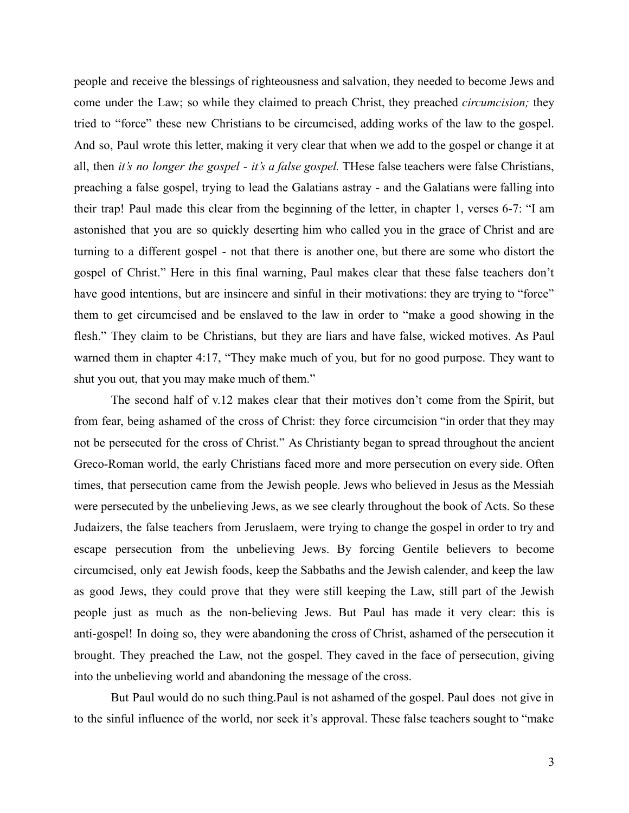people and receive the blessings of righteousness and salvation, they needed to become Jews and come under the Law; so while they claimed to preach Christ, they preached *circumcision;* they tried to "force" these new Christians to be circumcised, adding works of the law to the gospel. And so, Paul wrote this letter, making it very clear that when we add to the gospel or change it at all, then *it's no longer the gospel - it's a false gospel.* THese false teachers were false Christians, preaching a false gospel, trying to lead the Galatians astray - and the Galatians were falling into their trap! Paul made this clear from the beginning of the letter, in chapter 1, verses 6-7: "I am astonished that you are so quickly deserting him who called you in the grace of Christ and are turning to a different gospel - not that there is another one, but there are some who distort the gospel of Christ." Here in this final warning, Paul makes clear that these false teachers don't have good intentions, but are insincere and sinful in their motivations: they are trying to "force" them to get circumcised and be enslaved to the law in order to "make a good showing in the flesh." They claim to be Christians, but they are liars and have false, wicked motives. As Paul warned them in chapter 4:17, "They make much of you, but for no good purpose. They want to shut you out, that you may make much of them."

The second half of v.12 makes clear that their motives don't come from the Spirit, but from fear, being ashamed of the cross of Christ: they force circumcision "in order that they may not be persecuted for the cross of Christ." As Christianty began to spread throughout the ancient Greco-Roman world, the early Christians faced more and more persecution on every side. Often times, that persecution came from the Jewish people. Jews who believed in Jesus as the Messiah were persecuted by the unbelieving Jews, as we see clearly throughout the book of Acts. So these Judaizers, the false teachers from Jeruslaem, were trying to change the gospel in order to try and escape persecution from the unbelieving Jews. By forcing Gentile believers to become circumcised, only eat Jewish foods, keep the Sabbaths and the Jewish calender, and keep the law as good Jews, they could prove that they were still keeping the Law, still part of the Jewish people just as much as the non-believing Jews. But Paul has made it very clear: this is anti-gospel! In doing so, they were abandoning the cross of Christ, ashamed of the persecution it brought. They preached the Law, not the gospel. They caved in the face of persecution, giving into the unbelieving world and abandoning the message of the cross.

But Paul would do no such thing.Paul is not ashamed of the gospel. Paul does not give in to the sinful influence of the world, nor seek it's approval. These false teachers sought to "make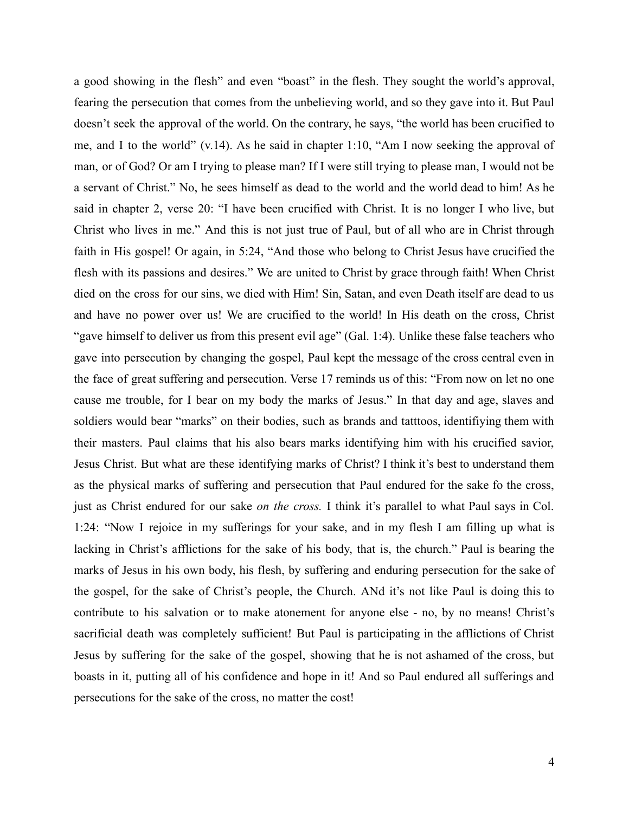a good showing in the flesh" and even "boast" in the flesh. They sought the world's approval, fearing the persecution that comes from the unbelieving world, and so they gave into it. But Paul doesn't seek the approval of the world. On the contrary, he says, "the world has been crucified to me, and I to the world" (v.14). As he said in chapter 1:10, "Am I now seeking the approval of man, or of God? Or am I trying to please man? If I were still trying to please man, I would not be a servant of Christ." No, he sees himself as dead to the world and the world dead to him! As he said in chapter 2, verse 20: "I have been crucified with Christ. It is no longer I who live, but Christ who lives in me." And this is not just true of Paul, but of all who are in Christ through faith in His gospel! Or again, in 5:24, "And those who belong to Christ Jesus have crucified the flesh with its passions and desires." We are united to Christ by grace through faith! When Christ died on the cross for our sins, we died with Him! Sin, Satan, and even Death itself are dead to us and have no power over us! We are crucified to the world! In His death on the cross, Christ "gave himself to deliver us from this present evil age" (Gal. 1:4). Unlike these false teachers who gave into persecution by changing the gospel, Paul kept the message of the cross central even in the face of great suffering and persecution. Verse 17 reminds us of this: "From now on let no one cause me trouble, for I bear on my body the marks of Jesus." In that day and age, slaves and soldiers would bear "marks" on their bodies, such as brands and tatttoos, identifiying them with their masters. Paul claims that his also bears marks identifying him with his crucified savior, Jesus Christ. But what are these identifying marks of Christ? I think it's best to understand them as the physical marks of suffering and persecution that Paul endured for the sake fo the cross, just as Christ endured for our sake *on the cross.* I think it's parallel to what Paul says in Col. 1:24: "Now I rejoice in my sufferings for your sake, and in my flesh I am filling up what is lacking in Christ's afflictions for the sake of his body, that is, the church." Paul is bearing the marks of Jesus in his own body, his flesh, by suffering and enduring persecution for the sake of the gospel, for the sake of Christ's people, the Church. ANd it's not like Paul is doing this to contribute to his salvation or to make atonement for anyone else - no, by no means! Christ's sacrificial death was completely sufficient! But Paul is participating in the afflictions of Christ Jesus by suffering for the sake of the gospel, showing that he is not ashamed of the cross, but boasts in it, putting all of his confidence and hope in it! And so Paul endured all sufferings and persecutions for the sake of the cross, no matter the cost!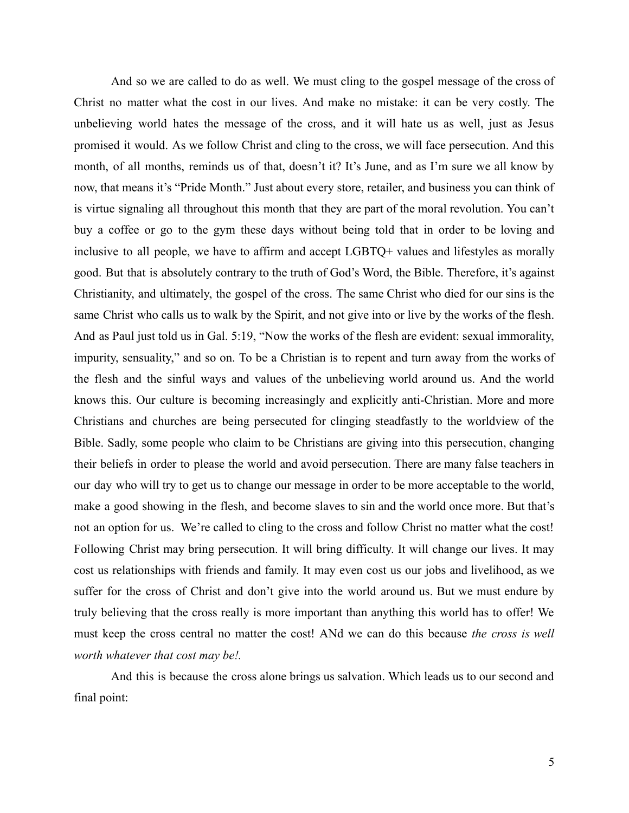And so we are called to do as well. We must cling to the gospel message of the cross of Christ no matter what the cost in our lives. And make no mistake: it can be very costly. The unbelieving world hates the message of the cross, and it will hate us as well, just as Jesus promised it would. As we follow Christ and cling to the cross, we will face persecution. And this month, of all months, reminds us of that, doesn't it? It's June, and as I'm sure we all know by now, that means it's "Pride Month." Just about every store, retailer, and business you can think of is virtue signaling all throughout this month that they are part of the moral revolution. You can't buy a coffee or go to the gym these days without being told that in order to be loving and inclusive to all people, we have to affirm and accept LGBTQ+ values and lifestyles as morally good. But that is absolutely contrary to the truth of God's Word, the Bible. Therefore, it's against Christianity, and ultimately, the gospel of the cross. The same Christ who died for our sins is the same Christ who calls us to walk by the Spirit, and not give into or live by the works of the flesh. And as Paul just told us in Gal. 5:19, "Now the works of the flesh are evident: sexual immorality, impurity, sensuality," and so on. To be a Christian is to repent and turn away from the works of the flesh and the sinful ways and values of the unbelieving world around us. And the world knows this. Our culture is becoming increasingly and explicitly anti-Christian. More and more Christians and churches are being persecuted for clinging steadfastly to the worldview of the Bible. Sadly, some people who claim to be Christians are giving into this persecution, changing their beliefs in order to please the world and avoid persecution. There are many false teachers in our day who will try to get us to change our message in order to be more acceptable to the world, make a good showing in the flesh, and become slaves to sin and the world once more. But that's not an option for us. We're called to cling to the cross and follow Christ no matter what the cost! Following Christ may bring persecution. It will bring difficulty. It will change our lives. It may cost us relationships with friends and family. It may even cost us our jobs and livelihood, as we suffer for the cross of Christ and don't give into the world around us. But we must endure by truly believing that the cross really is more important than anything this world has to offer! We must keep the cross central no matter the cost! ANd we can do this because *the cross is well worth whatever that cost may be!.*

And this is because the cross alone brings us salvation. Which leads us to our second and final point: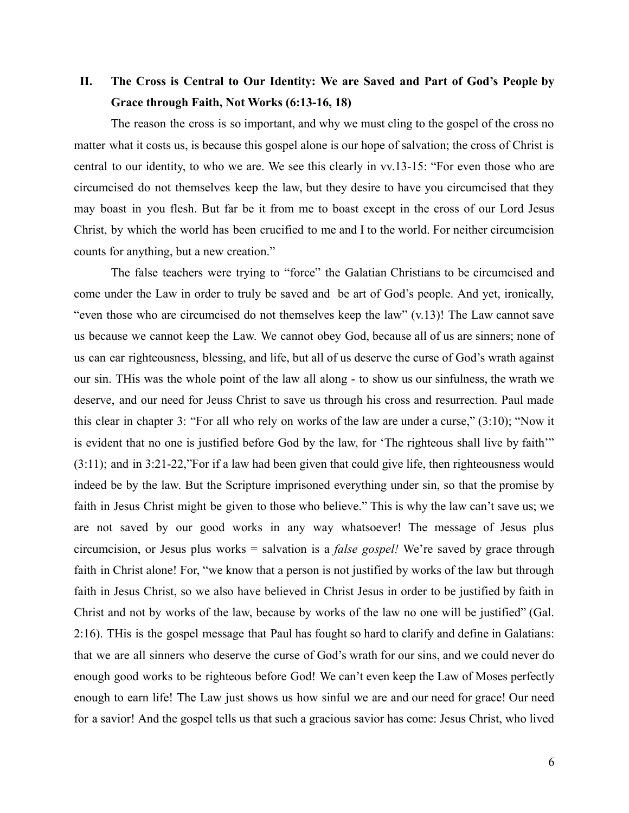## **II. The Cross is Central to Our Identity: We are Saved and Part of God's People by Grace through Faith, Not Works (6:13-16, 18)**

The reason the cross is so important, and why we must cling to the gospel of the cross no matter what it costs us, is because this gospel alone is our hope of salvation; the cross of Christ is central to our identity, to who we are. We see this clearly in vv.13-15: "For even those who are circumcised do not themselves keep the law, but they desire to have you circumcised that they may boast in you flesh. But far be it from me to boast except in the cross of our Lord Jesus Christ, by which the world has been crucified to me and I to the world. For neither circumcision counts for anything, but a new creation."

The false teachers were trying to "force" the Galatian Christians to be circumcised and come under the Law in order to truly be saved and be art of God's people. And yet, ironically, "even those who are circumcised do not themselves keep the law" (v.13)! The Law cannot save us because we cannot keep the Law. We cannot obey God, because all of us are sinners; none of us can ear righteousness, blessing, and life, but all of us deserve the curse of God's wrath against our sin. THis was the whole point of the law all along - to show us our sinfulness, the wrath we deserve, and our need for Jeuss Christ to save us through his cross and resurrection. Paul made this clear in chapter 3: "For all who rely on works of the law are under a curse," (3:10); "Now it is evident that no one is justified before God by the law, for 'The righteous shall live by faith'" (3:11); and in 3:21-22,"For if a law had been given that could give life, then righteousness would indeed be by the law. But the Scripture imprisoned everything under sin, so that the promise by faith in Jesus Christ might be given to those who believe." This is why the law can't save us; we are not saved by our good works in any way whatsoever! The message of Jesus plus circumcision, or Jesus plus works = salvation is a *false gospel!* We're saved by grace through faith in Christ alone! For, "we know that a person is not justified by works of the law but through faith in Jesus Christ, so we also have believed in Christ Jesus in order to be justified by faith in Christ and not by works of the law, because by works of the law no one will be justified" (Gal. 2:16). THis is the gospel message that Paul has fought so hard to clarify and define in Galatians: that we are all sinners who deserve the curse of God's wrath for our sins, and we could never do enough good works to be righteous before God! We can't even keep the Law of Moses perfectly enough to earn life! The Law just shows us how sinful we are and our need for grace! Our need for a savior! And the gospel tells us that such a gracious savior has come: Jesus Christ, who lived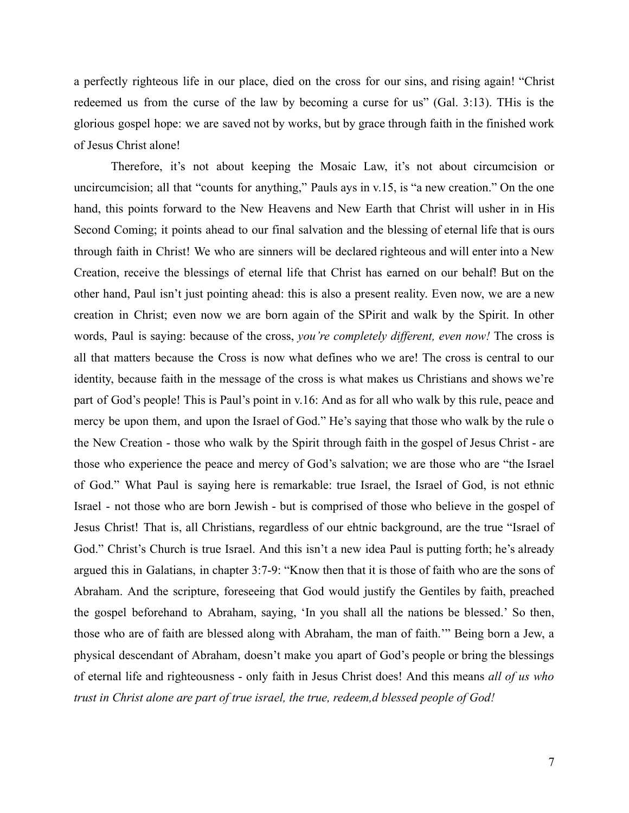a perfectly righteous life in our place, died on the cross for our sins, and rising again! "Christ redeemed us from the curse of the law by becoming a curse for us" (Gal. 3:13). THis is the glorious gospel hope: we are saved not by works, but by grace through faith in the finished work of Jesus Christ alone!

Therefore, it's not about keeping the Mosaic Law, it's not about circumcision or uncircumcision; all that "counts for anything," Pauls ays in v.15, is "a new creation." On the one hand, this points forward to the New Heavens and New Earth that Christ will usher in in His Second Coming; it points ahead to our final salvation and the blessing of eternal life that is ours through faith in Christ! We who are sinners will be declared righteous and will enter into a New Creation, receive the blessings of eternal life that Christ has earned on our behalf! But on the other hand, Paul isn't just pointing ahead: this is also a present reality. Even now, we are a new creation in Christ; even now we are born again of the SPirit and walk by the Spirit. In other words, Paul is saying: because of the cross, *you're completely different, even now!* The cross is all that matters because the Cross is now what defines who we are! The cross is central to our identity, because faith in the message of the cross is what makes us Christians and shows we're part of God's people! This is Paul's point in v.16: And as for all who walk by this rule, peace and mercy be upon them, and upon the Israel of God." He's saying that those who walk by the rule o the New Creation - those who walk by the Spirit through faith in the gospel of Jesus Christ - are those who experience the peace and mercy of God's salvation; we are those who are "the Israel of God." What Paul is saying here is remarkable: true Israel, the Israel of God, is not ethnic Israel - not those who are born Jewish - but is comprised of those who believe in the gospel of Jesus Christ! That is, all Christians, regardless of our ehtnic background, are the true "Israel of God." Christ's Church is true Israel. And this isn't a new idea Paul is putting forth; he's already argued this in Galatians, in chapter 3:7-9: "Know then that it is those of faith who are the sons of Abraham. And the scripture, foreseeing that God would justify the Gentiles by faith, preached the gospel beforehand to Abraham, saying, 'In you shall all the nations be blessed.' So then, those who are of faith are blessed along with Abraham, the man of faith.'" Being born a Jew, a physical descendant of Abraham, doesn't make you apart of God's people or bring the blessings of eternal life and righteousness - only faith in Jesus Christ does! And this means *all of us who trust in Christ alone are part of true israel, the true, redeem,d blessed people of God!*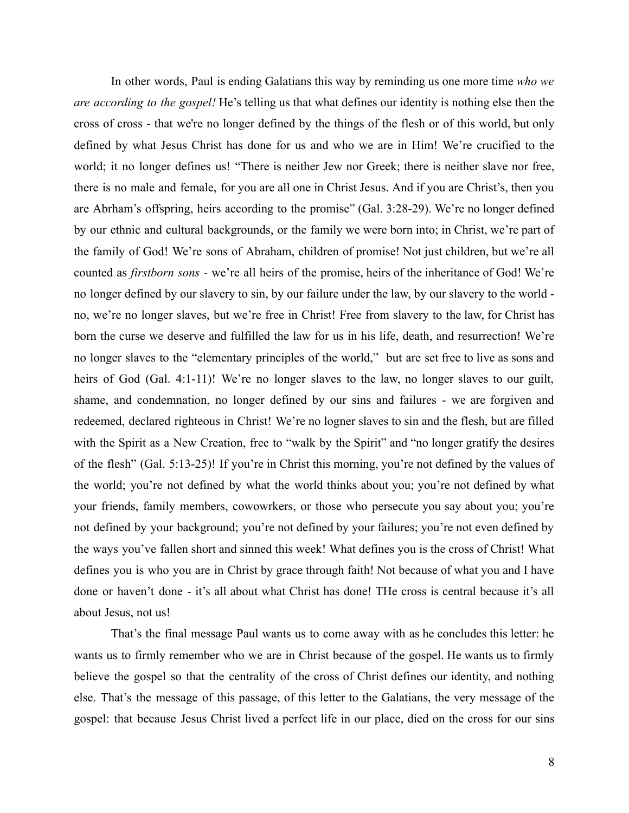In other words, Paul is ending Galatians this way by reminding us one more time *who we are according to the gospel!* He's telling us that what defines our identity is nothing else then the cross of cross - that we're no longer defined by the things of the flesh or of this world, but only defined by what Jesus Christ has done for us and who we are in Him! We're crucified to the world; it no longer defines us! "There is neither Jew nor Greek; there is neither slave nor free, there is no male and female, for you are all one in Christ Jesus. And if you are Christ's, then you are Abrham's offspring, heirs according to the promise" (Gal. 3:28-29). We're no longer defined by our ethnic and cultural backgrounds, or the family we were born into; in Christ, we're part of the family of God! We're sons of Abraham, children of promise! Not just children, but we're all counted as *firstborn sons -* we're all heirs of the promise, heirs of the inheritance of God! We're no longer defined by our slavery to sin, by our failure under the law, by our slavery to the world no, we're no longer slaves, but we're free in Christ! Free from slavery to the law, for Christ has born the curse we deserve and fulfilled the law for us in his life, death, and resurrection! We're no longer slaves to the "elementary principles of the world," but are set free to live as sons and heirs of God (Gal. 4:1-11)! We're no longer slaves to the law, no longer slaves to our guilt, shame, and condemnation, no longer defined by our sins and failures - we are forgiven and redeemed, declared righteous in Christ! We're no logner slaves to sin and the flesh, but are filled with the Spirit as a New Creation, free to "walk by the Spirit" and "no longer gratify the desires of the flesh" (Gal. 5:13-25)! If you're in Christ this morning, you're not defined by the values of the world; you're not defined by what the world thinks about you; you're not defined by what your friends, family members, cowowrkers, or those who persecute you say about you; you're not defined by your background; you're not defined by your failures; you're not even defined by the ways you've fallen short and sinned this week! What defines you is the cross of Christ! What defines you is who you are in Christ by grace through faith! Not because of what you and I have done or haven't done - it's all about what Christ has done! THe cross is central because it's all about Jesus, not us!

That's the final message Paul wants us to come away with as he concludes this letter: he wants us to firmly remember who we are in Christ because of the gospel. He wants us to firmly believe the gospel so that the centrality of the cross of Christ defines our identity, and nothing else. That's the message of this passage, of this letter to the Galatians, the very message of the gospel: that because Jesus Christ lived a perfect life in our place, died on the cross for our sins